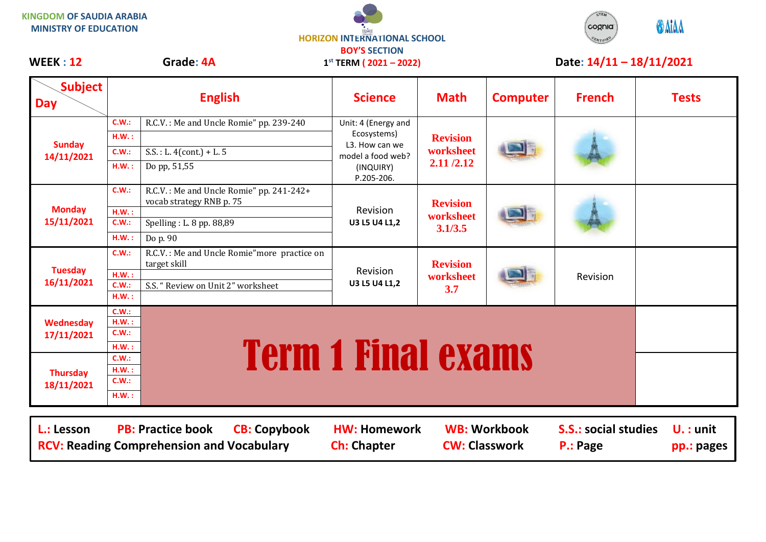## **KINGDOM OF SAUDIA ARABIA MINISTRY OF EDUCATION**





## WEEK : 12 Grade: 4A 1<sup>st</sup> TERM (2021 – 2022) Date: 14/11 – 18/11/2021

| <b>Subject</b><br><b>Day</b>  |                                                                                                                              | <b>English</b>                                                       | <b>Science</b>                                                                                       | <b>Math</b>                               | <b>Computer</b> | <b>French</b> | <b>Tests</b> |  |
|-------------------------------|------------------------------------------------------------------------------------------------------------------------------|----------------------------------------------------------------------|------------------------------------------------------------------------------------------------------|-------------------------------------------|-----------------|---------------|--------------|--|
| <b>Sunday</b><br>14/11/2021   | C.W.:                                                                                                                        | R.C.V.: Me and Uncle Romie" pp. 239-240                              | Unit: 4 (Energy and<br>Ecosystems)<br>L3. How can we<br>model a food web?<br>(INQUIRY)<br>P.205-206. | <b>Revision</b><br>worksheet<br>2.11/2.12 |                 |               |              |  |
|                               | HM.:                                                                                                                         |                                                                      |                                                                                                      |                                           |                 |               |              |  |
|                               | C.W.:                                                                                                                        | $S.S. : L. 4 (cont.) + L. 5$                                         |                                                                                                      |                                           |                 |               |              |  |
|                               | H.W.:                                                                                                                        | Do pp, 51,55                                                         |                                                                                                      |                                           |                 |               |              |  |
| <b>Monday</b><br>15/11/2021   | C.W.:                                                                                                                        | R.C.V.: Me and Uncle Romie" pp. 241-242+<br>vocab strategy RNB p. 75 | Revision<br>U3 L5 U4 L1,2                                                                            | <b>Revision</b><br>worksheet<br>3.1/3.5   |                 |               |              |  |
|                               | HM.:                                                                                                                         |                                                                      |                                                                                                      |                                           |                 |               |              |  |
|                               | C.W.:                                                                                                                        | Spelling: L. 8 pp. 88,89                                             |                                                                                                      |                                           |                 |               |              |  |
|                               | H.W.:                                                                                                                        | Do p. 90                                                             |                                                                                                      |                                           |                 |               |              |  |
| <b>Tuesday</b><br>16/11/2021  | C.W.:                                                                                                                        | R.C.V.: Me and Uncle Romie" more practice on<br>target skill         | Revision<br>U3 L5 U4 L1,2                                                                            | <b>Revision</b><br>worksheet<br>3.7       |                 | Revision      |              |  |
|                               | HM.:                                                                                                                         |                                                                      |                                                                                                      |                                           |                 |               |              |  |
|                               | C.W.:<br>H.W.:                                                                                                               | S.S. "Review on Unit 2" worksheet                                    |                                                                                                      |                                           |                 |               |              |  |
|                               | C.W.:                                                                                                                        |                                                                      |                                                                                                      |                                           |                 |               |              |  |
| Wednesday                     | H.W.:                                                                                                                        |                                                                      |                                                                                                      |                                           |                 |               |              |  |
| 17/11/2021                    | C.W.:                                                                                                                        |                                                                      |                                                                                                      |                                           |                 |               |              |  |
|                               | H.W.:                                                                                                                        |                                                                      |                                                                                                      |                                           |                 |               |              |  |
| <b>Thursday</b><br>18/11/2021 | C.W.:                                                                                                                        | <b>Term 1 Final exams</b>                                            |                                                                                                      |                                           |                 |               |              |  |
|                               | HM.:                                                                                                                         |                                                                      |                                                                                                      |                                           |                 |               |              |  |
|                               | C.W.:                                                                                                                        |                                                                      |                                                                                                      |                                           |                 |               |              |  |
|                               | HM.:                                                                                                                         |                                                                      |                                                                                                      |                                           |                 |               |              |  |
|                               |                                                                                                                              |                                                                      |                                                                                                      |                                           |                 |               |              |  |
| L.: Lesson                    | <b>PB: Practice book</b><br><b>CB: Copybook</b><br><b>HW: Homework</b><br><b>WB: Workbook</b><br><b>S.S.: social studies</b> |                                                                      |                                                                                                      |                                           |                 | $U.$ : unit   |              |  |

**RCV: Reading Comprehension and Vocabulary and Ch: Chapter CW: Classwork P.: Page pp.: pages**